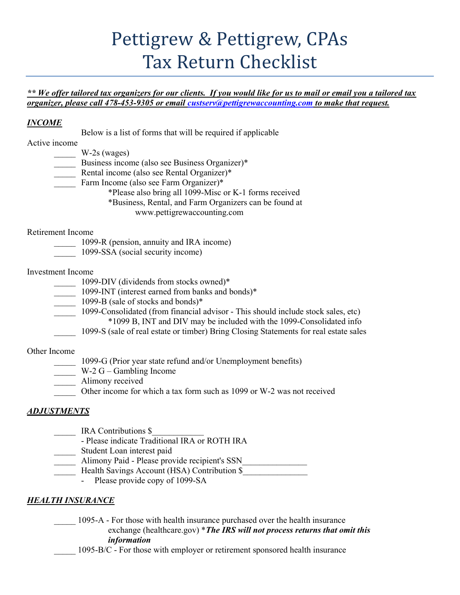# Pettigrew & Pettigrew, CPAs Tax Return Checklist

#### \*\* We offer tailored tax organizers for our clients. If you would like for us to mail or email you a tailored tax organizer, please call 478-453-9305 or email custserv@pettigrewaccounting.com to make that request.

### INCOME

Below is a list of forms that will be required if applicable

Active income

 $W-2s$  (wages)

\_\_\_\_\_ Business income (also see Business Organizer)\*

- \_\_\_\_\_ Rental income (also see Rental Organizer)\*
- Farm Income (also see Farm Organizer)\*

\*Please also bring all 1099-Misc or K-1 forms received

\*Business, Rental, and Farm Organizers can be found at

www.pettigrewaccounting.com

#### Retirement Income

1099-R (pension, annuity and IRA income)

\_\_\_\_\_ 1099-SSA (social security income)

#### Investment Income

1099-DIV (dividends from stocks owned)\*

- 1099-INT (interest earned from banks and bonds)\*
- $\frac{1099}{8}$  (sale of stocks and bonds)\*

 \_\_\_\_\_ 1099-Consolidated (from financial advisor - This should include stock sales, etc) \*1099 B, INT and DIV may be included with the 1099-Consolidated info

\_\_\_\_\_ 1099-S (sale of real estate or timber) Bring Closing Statements for real estate sales

# Other Income

\_\_\_\_\_ 1099-G (Prior year state refund and/or Unemployment benefits)

- $W-2 G -$  Gambling Income
- Alimony received
	- Other income for which a tax form such as 1099 or W-2 was not received

# ADJUSTMENTS

IRA Contributions \$

- Please indicate Traditional IRA or ROTH IRA
- \_\_\_\_\_ Student Loan interest paid
- \_\_\_\_\_ Alimony Paid Please provide recipient's SSN\_\_\_\_\_\_\_\_\_\_\_\_\_\_\_
	- Health Savings Account (HSA) Contribution \$
		- Please provide copy of 1099-SA

# HEALTH INSURANCE

1095-A - For those with health insurance purchased over the health insurance exchange (healthcare.gov) \*The IRS will not process returns that omit this information

1095-B/C - For those with employer or retirement sponsored health insurance